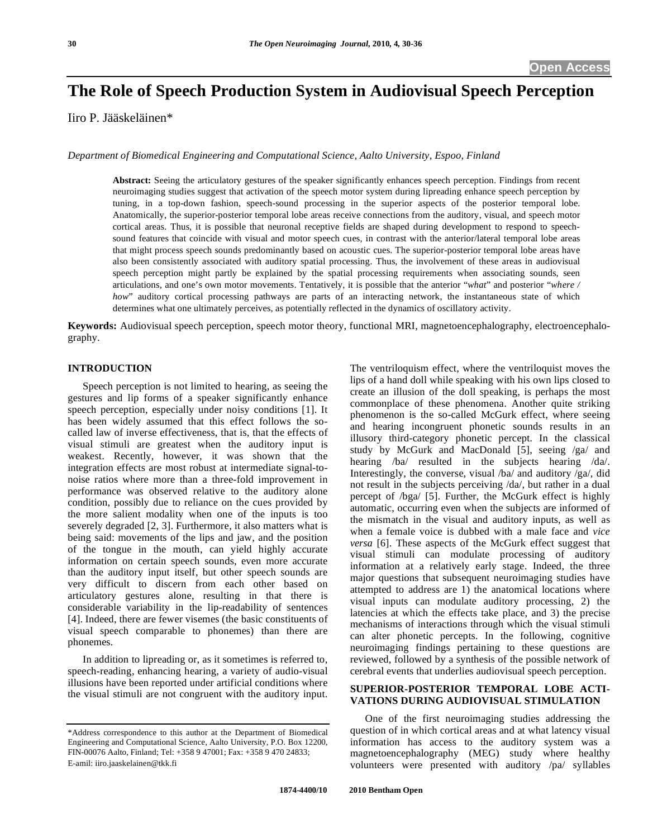# **The Role of Speech Production System in Audiovisual Speech Perception**

Iiro P. Jääskeläinen\*

*Department of Biomedical Engineering and Computational Science, Aalto University, Espoo, Finland* 

**Abstract:** Seeing the articulatory gestures of the speaker significantly enhances speech perception. Findings from recent neuroimaging studies suggest that activation of the speech motor system during lipreading enhance speech perception by tuning, in a top-down fashion, speech-sound processing in the superior aspects of the posterior temporal lobe. Anatomically, the superior-posterior temporal lobe areas receive connections from the auditory, visual, and speech motor cortical areas. Thus, it is possible that neuronal receptive fields are shaped during development to respond to speechsound features that coincide with visual and motor speech cues, in contrast with the anterior/lateral temporal lobe areas that might process speech sounds predominantly based on acoustic cues. The superior-posterior temporal lobe areas have also been consistently associated with auditory spatial processing. Thus, the involvement of these areas in audiovisual speech perception might partly be explained by the spatial processing requirements when associating sounds, seen articulations, and one's own motor movements. Tentatively, it is possible that the anterior "*what*" and posterior "*where / how*" auditory cortical processing pathways are parts of an interacting network, the instantaneous state of which determines what one ultimately perceives, as potentially reflected in the dynamics of oscillatory activity.

**Keywords:** Audiovisual speech perception, speech motor theory, functional MRI, magnetoencephalography, electroencephalography.

# **INTRODUCTION**

 Speech perception is not limited to hearing, as seeing the gestures and lip forms of a speaker significantly enhance speech perception, especially under noisy conditions [1]. It has been widely assumed that this effect follows the socalled law of inverse effectiveness, that is, that the effects of visual stimuli are greatest when the auditory input is weakest. Recently, however, it was shown that the integration effects are most robust at intermediate signal-tonoise ratios where more than a three-fold improvement in performance was observed relative to the auditory alone condition, possibly due to reliance on the cues provided by the more salient modality when one of the inputs is too severely degraded [2, 3]. Furthermore, it also matters what is being said: movements of the lips and jaw, and the position of the tongue in the mouth, can yield highly accurate information on certain speech sounds, even more accurate than the auditory input itself, but other speech sounds are very difficult to discern from each other based on articulatory gestures alone, resulting in that there is considerable variability in the lip-readability of sentences [4]. Indeed, there are fewer visemes (the basic constituents of visual speech comparable to phonemes) than there are phonemes.

 In addition to lipreading or, as it sometimes is referred to, speech-reading, enhancing hearing, a variety of audio-visual illusions have been reported under artificial conditions where the visual stimuli are not congruent with the auditory input. The ventriloquism effect, where the ventriloquist moves the lips of a hand doll while speaking with his own lips closed to create an illusion of the doll speaking, is perhaps the most commonplace of these phenomena. Another quite striking phenomenon is the so-called McGurk effect, where seeing and hearing incongruent phonetic sounds results in an illusory third-category phonetic percept. In the classical study by McGurk and MacDonald [5], seeing /ga/ and hearing /ba/ resulted in the subjects hearing /da/. Interestingly, the converse, visual /ba/ and auditory /ga/, did not result in the subjects perceiving /da/, but rather in a dual percept of /bga/ [5]. Further, the McGurk effect is highly automatic, occurring even when the subjects are informed of the mismatch in the visual and auditory inputs, as well as when a female voice is dubbed with a male face and *vice versa* [6]. These aspects of the McGurk effect suggest that visual stimuli can modulate processing of auditory information at a relatively early stage. Indeed, the three major questions that subsequent neuroimaging studies have attempted to address are 1) the anatomical locations where visual inputs can modulate auditory processing, 2) the latencies at which the effects take place, and 3) the precise mechanisms of interactions through which the visual stimuli can alter phonetic percepts. In the following, cognitive neuroimaging findings pertaining to these questions are reviewed, followed by a synthesis of the possible network of cerebral events that underlies audiovisual speech perception.

# **SUPERIOR-POSTERIOR TEMPORAL LOBE ACTI-VATIONS DURING AUDIOVISUAL STIMULATION**

 One of the first neuroimaging studies addressing the question of in which cortical areas and at what latency visual information has access to the auditory system was a magnetoencephalography (MEG) study where healthy volunteers were presented with auditory /pa/ syllables

<sup>\*</sup>Address correspondence to this author at the Department of Biomedical Engineering and Computational Science, Aalto University, P.O. Box 12200, FIN-00076 Aalto, Finland; Tel: +358 9 47001; Fax: +358 9 470 24833; E-amil: iiro.jaaskelainen@tkk.fi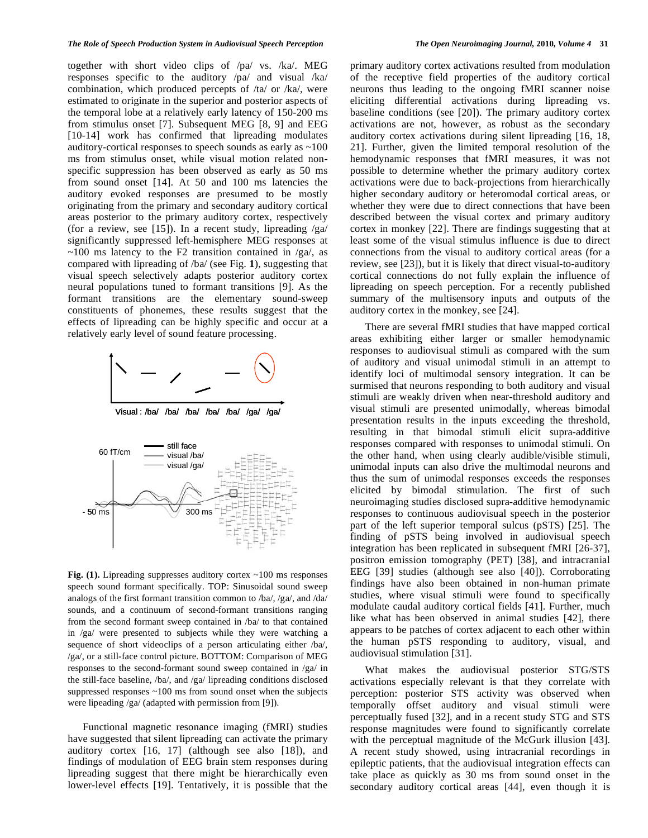together with short video clips of /pa/ vs. /ka/. MEG responses specific to the auditory /pa/ and visual /ka/ combination, which produced percepts of /ta/ or /ka/, were estimated to originate in the superior and posterior aspects of the temporal lobe at a relatively early latency of 150-200 ms from stimulus onset [7]. Subsequent MEG [8, 9] and EEG [10-14] work has confirmed that lipreading modulates auditory-cortical responses to speech sounds as early as ~100 ms from stimulus onset, while visual motion related nonspecific suppression has been observed as early as 50 ms from sound onset [14]. At 50 and 100 ms latencies the auditory evoked responses are presumed to be mostly originating from the primary and secondary auditory cortical areas posterior to the primary auditory cortex, respectively (for a review, see [15]). In a recent study, lipreading  $\sqrt{ga}$ significantly suppressed left-hemisphere MEG responses at  $\sim$ 100 ms latency to the F2 transition contained in /ga/, as compared with lipreading of /ba/ (see Fig. **1**), suggesting that visual speech selectively adapts posterior auditory cortex neural populations tuned to formant transitions [9]. As the formant transitions are the elementary sound-sweep constituents of phonemes, these results suggest that the effects of lipreading can be highly specific and occur at a relatively early level of sound feature processing.



Visual : /ba/ /ba/ /ba/ /ba/ /ba/ /ga/ /ga/



Fig. (1). Lipreading suppresses auditory cortex ~100 ms responses speech sound formant specifically. TOP: Sinusoidal sound sweep analogs of the first formant transition common to /ba/, /ga/, and /da/ sounds, and a continuum of second-formant transitions ranging from the second formant sweep contained in /ba/ to that contained in /ga/ were presented to subjects while they were watching a sequence of short videoclips of a person articulating either /ba/, /ga/, or a still-face control picture. BOTTOM: Comparison of MEG responses to the second-formant sound sweep contained in /ga/ in the still-face baseline, /ba/, and /ga/ lipreading conditions disclosed suppressed responses ~100 ms from sound onset when the subjects were lipeading /ga/ (adapted with permission from [9]).

 Functional magnetic resonance imaging (fMRI) studies have suggested that silent lipreading can activate the primary auditory cortex [16, 17] (although see also [18]), and findings of modulation of EEG brain stem responses during lipreading suggest that there might be hierarchically even lower-level effects [19]. Tentatively, it is possible that the

primary auditory cortex activations resulted from modulation of the receptive field properties of the auditory cortical neurons thus leading to the ongoing fMRI scanner noise eliciting differential activations during lipreading vs. baseline conditions (see [20]). The primary auditory cortex activations are not, however, as robust as the secondary auditory cortex activations during silent lipreading [16, 18, 21]. Further, given the limited temporal resolution of the hemodynamic responses that fMRI measures, it was not possible to determine whether the primary auditory cortex activations were due to back-projections from hierarchically higher secondary auditory or heteromodal cortical areas, or whether they were due to direct connections that have been described between the visual cortex and primary auditory cortex in monkey [22]. There are findings suggesting that at least some of the visual stimulus influence is due to direct connections from the visual to auditory cortical areas (for a review, see [23]), but it is likely that direct visual-to-auditory cortical connections do not fully explain the influence of lipreading on speech perception. For a recently published summary of the multisensory inputs and outputs of the auditory cortex in the monkey, see [24].

 There are several fMRI studies that have mapped cortical areas exhibiting either larger or smaller hemodynamic responses to audiovisual stimuli as compared with the sum of auditory and visual unimodal stimuli in an attempt to identify loci of multimodal sensory integration. It can be surmised that neurons responding to both auditory and visual stimuli are weakly driven when near-threshold auditory and visual stimuli are presented unimodally, whereas bimodal presentation results in the inputs exceeding the threshold, resulting in that bimodal stimuli elicit supra-additive responses compared with responses to unimodal stimuli. On the other hand, when using clearly audible/visible stimuli, unimodal inputs can also drive the multimodal neurons and thus the sum of unimodal responses exceeds the responses elicited by bimodal stimulation. The first of such neuroimaging studies disclosed supra-additive hemodynamic responses to continuous audiovisual speech in the posterior part of the left superior temporal sulcus (pSTS) [25]. The finding of pSTS being involved in audiovisual speech integration has been replicated in subsequent fMRI [26-37], positron emission tomography (PET) [38], and intracranial EEG [39] studies (although see also [40]). Corroborating findings have also been obtained in non-human primate studies, where visual stimuli were found to specifically modulate caudal auditory cortical fields [41]. Further, much like what has been observed in animal studies [42], there appears to be patches of cortex adjacent to each other within the human pSTS responding to auditory, visual, and audiovisual stimulation [31].

 What makes the audiovisual posterior STG/STS activations especially relevant is that they correlate with perception: posterior STS activity was observed when temporally offset auditory and visual stimuli were perceptually fused [32], and in a recent study STG and STS response magnitudes were found to significantly correlate with the perceptual magnitude of the McGurk illusion [43]. A recent study showed, using intracranial recordings in epileptic patients, that the audiovisual integration effects can take place as quickly as 30 ms from sound onset in the secondary auditory cortical areas [44], even though it is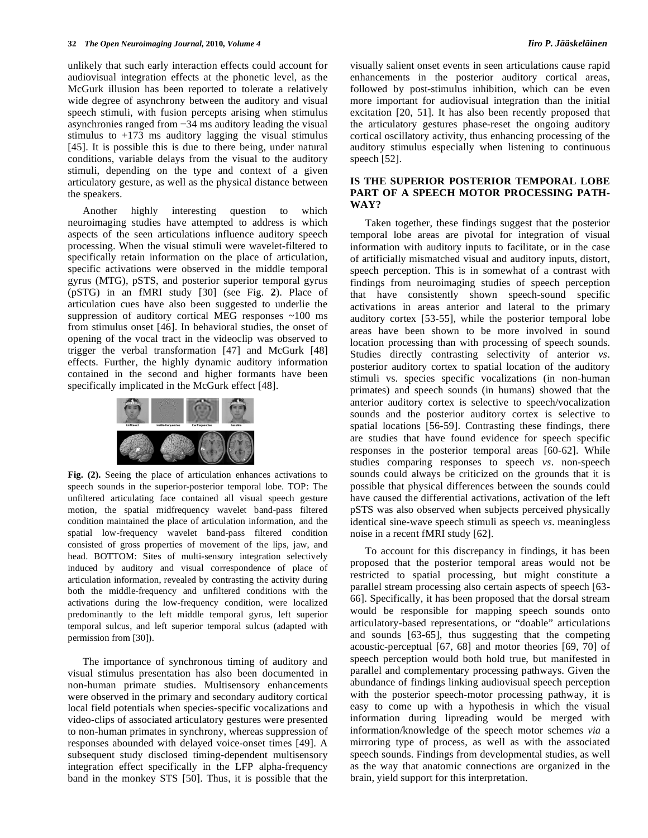unlikely that such early interaction effects could account for audiovisual integration effects at the phonetic level, as the McGurk illusion has been reported to tolerate a relatively wide degree of asynchrony between the auditory and visual speech stimuli, with fusion percepts arising when stimulus asynchronies ranged from  $-34$  ms auditory leading the visual stimulus to  $+173$  ms auditory lagging the visual stimulus [45]. It is possible this is due to there being, under natural conditions, variable delays from the visual to the auditory stimuli, depending on the type and context of a given articulatory gesture, as well as the physical distance between the speakers.

 Another highly interesting question to which neuroimaging studies have attempted to address is which aspects of the seen articulations influence auditory speech processing. When the visual stimuli were wavelet-filtered to specifically retain information on the place of articulation, specific activations were observed in the middle temporal gyrus (MTG), pSTS, and posterior superior temporal gyrus (pSTG) in an fMRI study [30] (see Fig. **2**). Place of articulation cues have also been suggested to underlie the suppression of auditory cortical MEG responses ~100 ms from stimulus onset [46]. In behavioral studies, the onset of opening of the vocal tract in the videoclip was observed to trigger the verbal transformation [47] and McGurk [48] effects. Further, the highly dynamic auditory information contained in the second and higher formants have been specifically implicated in the McGurk effect [48].



**Fig. (2).** Seeing the place of articulation enhances activations to speech sounds in the superior-posterior temporal lobe. TOP: The unfiltered articulating face contained all visual speech gesture motion, the spatial midfrequency wavelet band-pass filtered condition maintained the place of articulation information, and the spatial low-frequency wavelet band-pass filtered condition consisted of gross properties of movement of the lips, jaw, and head. BOTTOM: Sites of multi-sensory integration selectively induced by auditory and visual correspondence of place of articulation information, revealed by contrasting the activity during both the middle-frequency and unfiltered conditions with the activations during the low-frequency condition, were localized predominantly to the left middle temporal gyrus, left superior temporal sulcus, and left superior temporal sulcus (adapted with permission from [30]).

 The importance of synchronous timing of auditory and visual stimulus presentation has also been documented in non-human primate studies. Multisensory enhancements were observed in the primary and secondary auditory cortical local field potentials when species-specific vocalizations and video-clips of associated articulatory gestures were presented to non-human primates in synchrony, whereas suppression of responses abounded with delayed voice-onset times [49]. A subsequent study disclosed timing-dependent multisensory integration effect specifically in the LFP alpha-frequency band in the monkey STS [50]. Thus, it is possible that the

visually salient onset events in seen articulations cause rapid enhancements in the posterior auditory cortical areas, followed by post-stimulus inhibition, which can be even more important for audiovisual integration than the initial excitation [20, 51]. It has also been recently proposed that the articulatory gestures phase-reset the ongoing auditory cortical oscillatory activity, thus enhancing processing of the auditory stimulus especially when listening to continuous speech [52].

# **IS THE SUPERIOR POSTERIOR TEMPORAL LOBE PART OF A SPEECH MOTOR PROCESSING PATH-WAY?**

 Taken together, these findings suggest that the posterior temporal lobe areas are pivotal for integration of visual information with auditory inputs to facilitate, or in the case of artificially mismatched visual and auditory inputs, distort, speech perception. This is in somewhat of a contrast with findings from neuroimaging studies of speech perception that have consistently shown speech-sound specific activations in areas anterior and lateral to the primary auditory cortex [53-55], while the posterior temporal lobe areas have been shown to be more involved in sound location processing than with processing of speech sounds. Studies directly contrasting selectivity of anterior *vs*. posterior auditory cortex to spatial location of the auditory stimuli vs. species specific vocalizations (in non-human primates) and speech sounds (in humans) showed that the anterior auditory cortex is selective to speech/vocalization sounds and the posterior auditory cortex is selective to spatial locations [56-59]. Contrasting these findings, there are studies that have found evidence for speech specific responses in the posterior temporal areas [60-62]. While studies comparing responses to speech *vs*. non-speech sounds could always be criticized on the grounds that it is possible that physical differences between the sounds could have caused the differential activations, activation of the left pSTS was also observed when subjects perceived physically identical sine-wave speech stimuli as speech *vs*. meaningless noise in a recent fMRI study [62].

 To account for this discrepancy in findings, it has been proposed that the posterior temporal areas would not be restricted to spatial processing, but might constitute a parallel stream processing also certain aspects of speech [63- 66]. Specifically, it has been proposed that the dorsal stream would be responsible for mapping speech sounds onto articulatory-based representations, or "doable" articulations and sounds [63-65], thus suggesting that the competing acoustic-perceptual [67, 68] and motor theories [69, 70] of speech perception would both hold true, but manifested in parallel and complementary processing pathways. Given the abundance of findings linking audiovisual speech perception with the posterior speech-motor processing pathway, it is easy to come up with a hypothesis in which the visual information during lipreading would be merged with information/knowledge of the speech motor schemes *via* a mirroring type of process, as well as with the associated speech sounds. Findings from developmental studies, as well as the way that anatomic connections are organized in the brain, yield support for this interpretation.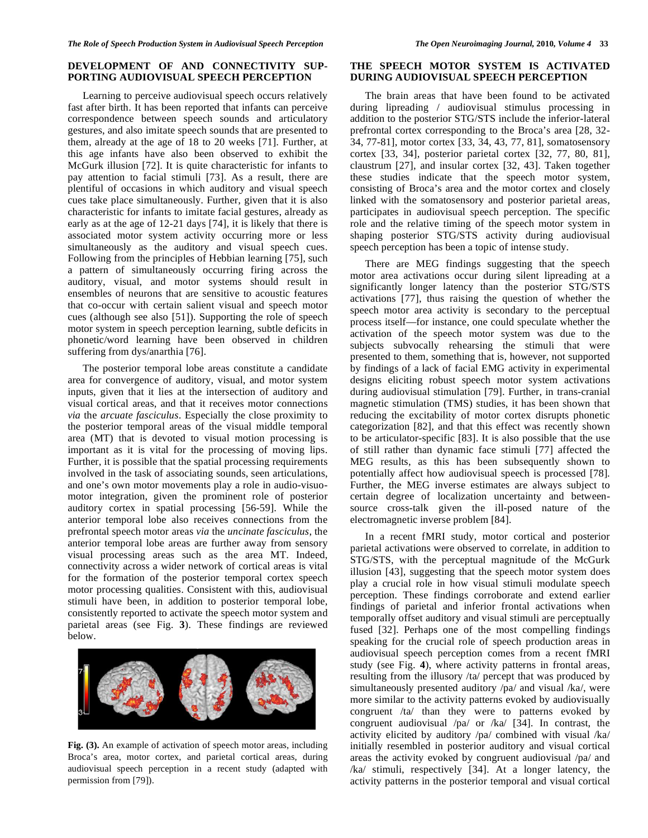# **DEVELOPMENT OF AND CONNECTIVITY SUP-PORTING AUDIOVISUAL SPEECH PERCEPTION**

 Learning to perceive audiovisual speech occurs relatively fast after birth. It has been reported that infants can perceive correspondence between speech sounds and articulatory gestures, and also imitate speech sounds that are presented to them, already at the age of 18 to 20 weeks [71]. Further, at this age infants have also been observed to exhibit the McGurk illusion [72]. It is quite characteristic for infants to pay attention to facial stimuli [73]. As a result, there are plentiful of occasions in which auditory and visual speech cues take place simultaneously. Further, given that it is also characteristic for infants to imitate facial gestures, already as early as at the age of 12-21 days [74], it is likely that there is associated motor system activity occurring more or less simultaneously as the auditory and visual speech cues. Following from the principles of Hebbian learning [75], such a pattern of simultaneously occurring firing across the auditory, visual, and motor systems should result in ensembles of neurons that are sensitive to acoustic features that co-occur with certain salient visual and speech motor cues (although see also [51]). Supporting the role of speech motor system in speech perception learning, subtle deficits in phonetic/word learning have been observed in children suffering from dys/anarthia [76].

 The posterior temporal lobe areas constitute a candidate area for convergence of auditory, visual, and motor system inputs, given that it lies at the intersection of auditory and visual cortical areas, and that it receives motor connections *via* the *arcuate fasciculus*. Especially the close proximity to the posterior temporal areas of the visual middle temporal area (MT) that is devoted to visual motion processing is important as it is vital for the processing of moving lips. Further, it is possible that the spatial processing requirements involved in the task of associating sounds, seen articulations, and one's own motor movements play a role in audio-visuomotor integration, given the prominent role of posterior auditory cortex in spatial processing [56-59]. While the anterior temporal lobe also receives connections from the prefrontal speech motor areas *via* the *uncinate fasciculus*, the anterior temporal lobe areas are further away from sensory visual processing areas such as the area MT. Indeed, connectivity across a wider network of cortical areas is vital for the formation of the posterior temporal cortex speech motor processing qualities. Consistent with this, audiovisual stimuli have been, in addition to posterior temporal lobe, consistently reported to activate the speech motor system and parietal areas (see Fig. **3**). These findings are reviewed below.



**Fig. (3).** An example of activation of speech motor areas, including Broca's area, motor cortex, and parietal cortical areas, during audiovisual speech perception in a recent study (adapted with permission from [79]).

# **THE SPEECH MOTOR SYSTEM IS ACTIVATED DURING AUDIOVISUAL SPEECH PERCEPTION**

 The brain areas that have been found to be activated during lipreading / audiovisual stimulus processing in addition to the posterior STG/STS include the inferior-lateral prefrontal cortex corresponding to the Broca's area [28, 32- 34, 77-81], motor cortex [33, 34, 43, 77, 81], somatosensory cortex [33, 34], posterior parietal cortex [32, 77, 80, 81], claustrum [27], and insular cortex [32, 43]. Taken together these studies indicate that the speech motor system, consisting of Broca's area and the motor cortex and closely linked with the somatosensory and posterior parietal areas, participates in audiovisual speech perception. The specific role and the relative timing of the speech motor system in shaping posterior STG/STS activity during audiovisual speech perception has been a topic of intense study.

 There are MEG findings suggesting that the speech motor area activations occur during silent lipreading at a significantly longer latency than the posterior STG/STS activations [77], thus raising the question of whether the speech motor area activity is secondary to the perceptual process itself—for instance, one could speculate whether the activation of the speech motor system was due to the subjects subvocally rehearsing the stimuli that were presented to them, something that is, however, not supported by findings of a lack of facial EMG activity in experimental designs eliciting robust speech motor system activations during audiovisual stimulation [79]. Further, in trans-cranial magnetic stimulation (TMS) studies, it has been shown that reducing the excitability of motor cortex disrupts phonetic categorization [82], and that this effect was recently shown to be articulator-specific [83]. It is also possible that the use of still rather than dynamic face stimuli [77] affected the MEG results, as this has been subsequently shown to potentially affect how audiovisual speech is processed [78]. Further, the MEG inverse estimates are always subject to certain degree of localization uncertainty and betweensource cross-talk given the ill-posed nature of the electromagnetic inverse problem [84].

 In a recent fMRI study, motor cortical and posterior parietal activations were observed to correlate, in addition to STG/STS, with the perceptual magnitude of the McGurk illusion [43], suggesting that the speech motor system does play a crucial role in how visual stimuli modulate speech perception. These findings corroborate and extend earlier findings of parietal and inferior frontal activations when temporally offset auditory and visual stimuli are perceptually fused [32]. Perhaps one of the most compelling findings speaking for the crucial role of speech production areas in audiovisual speech perception comes from a recent fMRI study (see Fig. **4**), where activity patterns in frontal areas, resulting from the illusory /ta/ percept that was produced by simultaneously presented auditory /pa/ and visual /ka/, were more similar to the activity patterns evoked by audiovisually congruent /ta/ than they were to patterns evoked by congruent audiovisual /pa/ or /ka/ [34]. In contrast, the activity elicited by auditory /pa/ combined with visual /ka/ initially resembled in posterior auditory and visual cortical areas the activity evoked by congruent audiovisual /pa/ and /ka/ stimuli, respectively [34]. At a longer latency, the activity patterns in the posterior temporal and visual cortical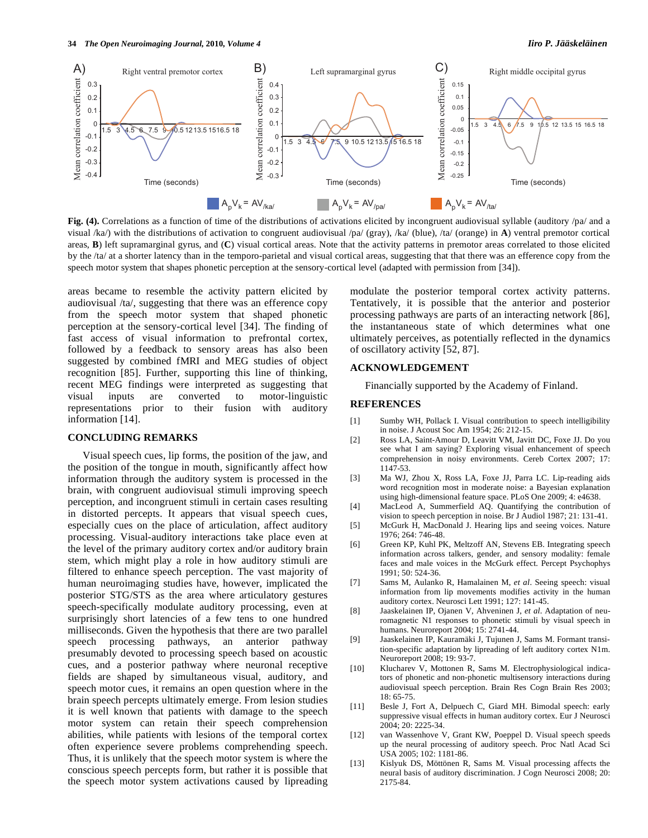

**Fig. (4).** Correlations as a function of time of the distributions of activations elicited by incongruent audiovisual syllable (auditory /pa/ and a visual /ka/) with the distributions of activation to congruent audiovisual /pa/ (gray), /ka/ (blue), /ta/ (orange) in **A**) ventral premotor cortical areas, **B**) left supramarginal gyrus, and (**C**) visual cortical areas. Note that the activity patterns in premotor areas correlated to those elicited by the /ta/ at a shorter latency than in the temporo-parietal and visual cortical areas, suggesting that that there was an efference copy from the speech motor system that shapes phonetic perception at the sensory-cortical level (adapted with permission from [34]).

areas became to resemble the activity pattern elicited by audiovisual /ta/, suggesting that there was an efference copy from the speech motor system that shaped phonetic perception at the sensory-cortical level [34]. The finding of fast access of visual information to prefrontal cortex, followed by a feedback to sensory areas has also been suggested by combined fMRI and MEG studies of object recognition [85]. Further, supporting this line of thinking, recent MEG findings were interpreted as suggesting that visual inputs are converted to motor-linguistic representations prior to their fusion with auditory information [14].

## **CONCLUDING REMARKS**

 Visual speech cues, lip forms, the position of the jaw, and the position of the tongue in mouth, significantly affect how information through the auditory system is processed in the brain, with congruent audiovisual stimuli improving speech perception, and incongruent stimuli in certain cases resulting in distorted percepts. It appears that visual speech cues, especially cues on the place of articulation, affect auditory processing. Visual-auditory interactions take place even at the level of the primary auditory cortex and/or auditory brain stem, which might play a role in how auditory stimuli are filtered to enhance speech perception. The vast majority of human neuroimaging studies have, however, implicated the posterior STG/STS as the area where articulatory gestures speech-specifically modulate auditory processing, even at surprisingly short latencies of a few tens to one hundred milliseconds. Given the hypothesis that there are two parallel speech processing pathways, an anterior pathway presumably devoted to processing speech based on acoustic cues, and a posterior pathway where neuronal receptive fields are shaped by simultaneous visual, auditory, and speech motor cues, it remains an open question where in the brain speech percepts ultimately emerge. From lesion studies it is well known that patients with damage to the speech motor system can retain their speech comprehension abilities, while patients with lesions of the temporal cortex often experience severe problems comprehending speech. Thus, it is unlikely that the speech motor system is where the conscious speech percepts form, but rather it is possible that the speech motor system activations caused by lipreading

modulate the posterior temporal cortex activity patterns. Tentatively, it is possible that the anterior and posterior processing pathways are parts of an interacting network [86], the instantaneous state of which determines what one ultimately perceives, as potentially reflected in the dynamics of oscillatory activity [52, 87].

# **ACKNOWLEDGEMENT**

Financially supported by the Academy of Finland.

# **REFERENCES**

- [1] Sumby WH, Pollack I. Visual contribution to speech intelligibility in noise. J Acoust Soc Am 1954; 26: 212-15.
- [2] Ross LA, Saint-Amour D, Leavitt VM, Javitt DC, Foxe JJ. Do you see what I am saying? Exploring visual enhancement of speech comprehension in noisy environments. Cereb Cortex 2007; 17: 1147-53.
- [3] Ma WJ, Zhou X, Ross LA, Foxe JJ, Parra LC. Lip-reading aids word recognition most in moderate noise: a Bayesian explanation using high-dimensional feature space. PLoS One 2009; 4: e4638.
- [4] MacLeod A, Summerfield AQ. Quantifying the contribution of vision to speech perception in noise. Br J Audiol 1987; 21: 131-41.
- [5] McGurk H, MacDonald J. Hearing lips and seeing voices. Nature 1976; 264: 746-48.
- [6] Green KP, Kuhl PK, Meltzoff AN, Stevens EB. Integrating speech information across talkers, gender, and sensory modality: female faces and male voices in the McGurk effect. Percept Psychophys 1991; 50: 524-36.
- [7] Sams M, Aulanko R, Hamalainen M, *et al*. Seeing speech: visual information from lip movements modifies activity in the human auditory cortex. Neurosci Lett 1991; 127: 141-45.
- [8] Jaaskelainen IP, Ojanen V, Ahveninen J, *et al*. Adaptation of neuromagnetic N1 responses to phonetic stimuli by visual speech in humans. Neuroreport 2004; 15: 2741-44.
- [9] Jaaskelainen IP, Kauramäki J, Tujunen J, Sams M. Formant transition-specific adaptation by lipreading of left auditory cortex N1m. Neuroreport 2008; 19: 93-7.
- [10] Klucharev V, Mottonen R, Sams M. Electrophysiological indicators of phonetic and non-phonetic multisensory interactions during audiovisual speech perception. Brain Res Cogn Brain Res 2003;  $18.65 - 75$
- [11] Besle J, Fort A, Delpuech C, Giard MH. Bimodal speech: early suppressive visual effects in human auditory cortex. Eur J Neurosci 2004; 20: 2225-34.
- [12] van Wassenhove V, Grant KW, Poeppel D. Visual speech speeds up the neural processing of auditory speech. Proc Natl Acad Sci USA 2005; 102: 1181-86.
- [13] Kislyuk DS, Möttönen R, Sams M. Visual processing affects the neural basis of auditory discrimination. J Cogn Neurosci 2008; 20: 2175-84.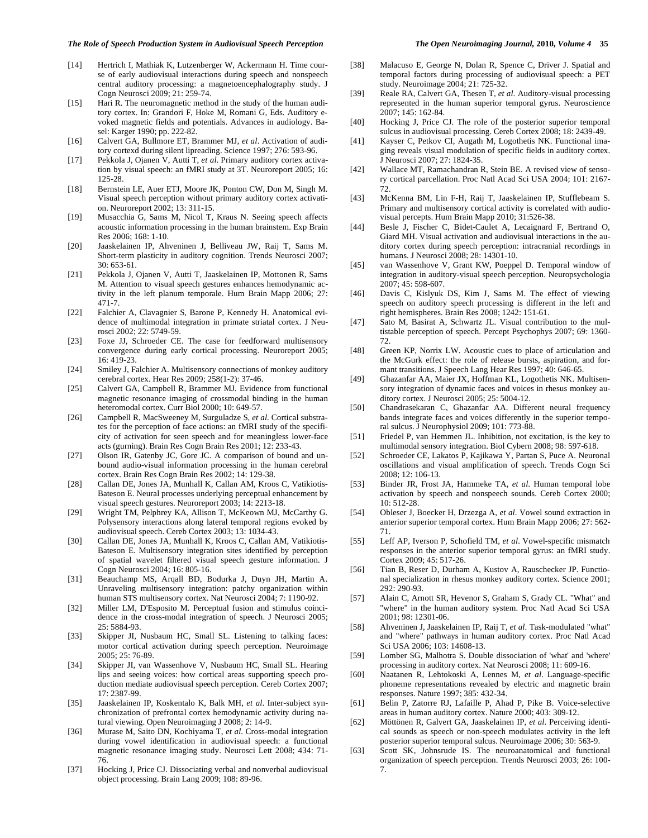### *The Role of Speech Production System in Audiovisual Speech Perception The Open Neuroimaging Journal,* **2010***, Volume 4* **35**

- [14] Hertrich I, Mathiak K, Lutzenberger W, Ackermann H. Time course of early audiovisual interactions during speech and nonspeech central auditory processing: a magnetoencephalography study. J Cogn Neurosci 2009; 21: 259-74.
- [15] Hari R. The neuromagnetic method in the study of the human auditory cortex. In: Grandori F, Hoke M, Romani G, Eds. Auditory evoked magnetic fields and potentials. Advances in audiology. Basel: Karger 1990; pp. 222-82.
- [16] Calvert GA, Bullmore ET, Brammer MJ, *et al*. Activation of auditory cortexd during silent lipreading. Science 1997; 276: 593-96.
- [17] Pekkola J, Ojanen V, Autti T, *et al*. Primary auditory cortex activation by visual speech: an fMRI study at 3T. Neuroreport 2005; 16: 125-28.
- [18] Bernstein LE, Auer ETJ, Moore JK, Ponton CW, Don M, Singh M. Visual speech perception without primary auditory cortex activation. Neuroreport 2002; 13: 311-15.
- [19] Musacchia G, Sams M, Nicol T, Kraus N. Seeing speech affects acoustic information processing in the human brainstem. Exp Brain Res 2006; 168: 1-10.
- [20] Jaaskelainen IP, Ahveninen J, Belliveau JW, Raij T, Sams M. Short-term plasticity in auditory cognition. Trends Neurosci 2007; 30: 653-61.
- [21] Pekkola J, Ojanen V, Autti T, Jaaskelainen IP, Mottonen R, Sams M. Attention to visual speech gestures enhances hemodynamic activity in the left planum temporale. Hum Brain Mapp 2006; 27: 471-7.
- [22] Falchier A, Clavagnier S, Barone P, Kennedy H. Anatomical evidence of multimodal integration in primate striatal cortex. J Neurosci 2002; 22: 5749-59.
- [23] Foxe JJ, Schroeder CE. The case for feedforward multisensory convergence during early cortical processing. Neuroreport 2005; 16: 419-23.
- [24] Smiley J, Falchier A. Multisensory connections of monkey auditory cerebral cortex. Hear Res 2009; 258(1-2): 37-46.
- [25] Calvert GA, Campbell R, Brammer MJ. Evidence from functional magnetic resonance imaging of crossmodal binding in the human heteromodal cortex. Curr Biol 2000; 10: 649-57.
- [26] Campbell R, MacSweeney M, Surguladze S, *et al*. Cortical substrates for the perception of face actions: an fMRI study of the specificity of activation for seen speech and for meaningless lower-face acts (gurning). Brain Res Cogn Brain Res 2001; 12: 233-43.
- [27] Olson IR, Gatenby JC, Gore JC. A comparison of bound and unbound audio-visual information processing in the human cerebral cortex. Brain Res Cogn Brain Res 2002; 14: 129-38.
- [28] Callan DE, Jones JA, Munhall K, Callan AM, Kroos C, Vatikiotis-Bateson E. Neural processes underlying perceptual enhancement by visual speech gestures. Neuroreport 2003; 14: 2213-18.
- [29] Wright TM, Pelphrey KA, Allison T, McKeown MJ, McCarthy G. Polysensory interactions along lateral temporal regions evoked by audiovisual speech. Cereb Cortex 2003; 13: 1034-43.
- [30] Callan DE, Jones JA, Munhall K, Kroos C, Callan AM, Vatikiotis-Bateson E. Multisensory integration sites identified by perception of spatial wavelet filtered visual speech gesture information. J Cogn Neurosci 2004; 16: 805-16.
- [31] Beauchamp MS, Arqall BD, Bodurka J, Duyn JH, Martin A. Unraveling multisensory integration: patchy organization within human STS multisensory cortex. Nat Neurosci 2004; 7: 1190-92.
- [32] Miller LM, D'Esposito M. Perceptual fusion and stimulus coincidence in the cross-modal integration of speech. J Neurosci 2005; 25: 5884-93.
- [33] Skipper JI, Nusbaum HC, Small SL. Listening to talking faces: motor cortical activation during speech perception. Neuroimage 2005; 25: 76-89.
- [34] Skipper JI, van Wassenhove V, Nusbaum HC, Small SL. Hearing lips and seeing voices: how cortical areas supporting speech production mediate audiovisual speech perception. Cereb Cortex 2007; 17: 2387-99.
- [35] Jaaskelainen IP, Koskentalo K, Balk MH, *et al*. Inter-subject synchronization of prefrontal cortex hemodynamic activity during natural viewing. Open Neuroimaging J 2008; 2: 14-9.
- [36] Murase M, Saito DN, Kochiyama T, *et al*. Cross-modal integration during vowel identification in audiovisual speech: a functional magnetic resonance imaging study. Neurosci Lett 2008; 434: 71- 76.
- [37] Hocking J, Price CJ. Dissociating verbal and nonverbal audiovisual object processing. Brain Lang 2009; 108: 89-96.
- [38] Malacuso E, George N, Dolan R, Spence C, Driver J. Spatial and temporal factors during processing of audiovisual speech: a PET
- study. Neuroimage 2004; 21: 725-32. [39] Reale RA, Calvert GA, Thesen T, *et al*. Auditory-visual processing
- represented in the human superior temporal gyrus. Neuroscience 2007; 145: 162-84.
- [40] Hocking J, Price CJ. The role of the posterior superior temporal sulcus in audiovisual processing. Cereb Cortex 2008; 18: 2439-49.
- [41] Kayser C, Petkov CI, Augath M, Logothetis NK. Functional imaging reveals visual modulation of specific fields in auditory cortex. J Neurosci 2007; 27: 1824-35.
- [42] Wallace MT, Ramachandran R, Stein BE. A revised view of sensory cortical parcellation. Proc Natl Acad Sci USA 2004; 101: 2167- 72.
- [43] McKenna BM, Lin F-H, Raij T, Jaaskelainen IP, Stufflebeam S. Primary and multisensory cortical activity is correlated with audiovisual percepts. Hum Brain Mapp 2010; 31:526-38.
- [44] Besle J, Fischer C, Bidet-Caulet A, Lecaignard F, Bertrand O, Giard MH. Visual activation and audiovisual interactions in the auditory cortex during speech perception: intracranial recordings in humans. J Neurosci 2008; 28: 14301-10.
- [45] van Wassenhove V, Grant KW, Poeppel D. Temporal window of integration in auditory-visual speech perception. Neuropsychologia 2007; 45: 598-607.
- [46] Davis C, Kislyuk DS, Kim J, Sams M. The effect of viewing speech on auditory speech processing is different in the left and right hemispheres. Brain Res 2008; 1242: 151-61.
- [47] Sato M, Basirat A, Schwartz JL. Visual contribution to the multistable perception of speech. Percept Psychophys 2007; 69: 1360- 72.
- [48] Green KP, Norrix LW. Acoustic cues to place of articulation and the McGurk effect: the role of release bursts, aspiration, and formant transitions. J Speech Lang Hear Res 1997; 40: 646-65.
- [49] Ghazanfar AA, Maier JX, Hoffman KL, Logothetis NK. Multisensory integration of dynamic faces and voices in rhesus monkey auditory cortex. J Neurosci 2005; 25: 5004-12.
- [50] Chandrasekaran C, Ghazanfar AA. Different neural frequency bands integrate faces and voices differently in the superior temporal sulcus. J Neurophysiol 2009; 101: 773-88.
- [51] Friedel P, van Hemmen JL. Inhibition, not excitation, is the key to multimodal sensory integration. Biol Cybern 2008; 98: 597-618.
- [52] Schroeder CE, Lakatos P, Kajikawa Y, Partan S, Puce A. Neuronal oscillations and visual amplification of speech. Trends Cogn Sci 2008; 12: 106-13.
- [53] Binder JR, Frost JA, Hammeke TA, *et al*. Human temporal lobe activation by speech and nonspeech sounds. Cereb Cortex 2000; 10: 512-28.
- [54] Obleser J, Boecker H, Drzezga A, *et al*. Vowel sound extraction in anterior superior temporal cortex. Hum Brain Mapp 2006; 27: 562- 71.
- [55] Leff AP, Iverson P, Schofield TM, *et al*. Vowel-specific mismatch responses in the anterior superior temporal gyrus: an fMRI study. Cortex 2009; 45: 517-26.
- [56] Tian B, Reser D, Durham A, Kustov A, Rauschecker JP. Functional specialization in rhesus monkey auditory cortex. Science 2001; 292: 290-93.
- [57] Alain C, Arnott SR, Hevenor S, Graham S, Grady CL. "What" and "where" in the human auditory system. Proc Natl Acad Sci USA 2001; 98: 12301-06.
- [58] Ahveninen J, Jaaskelainen IP, Raij T, *et al*. Task-modulated "what" and "where" pathways in human auditory cortex. Proc Natl Acad Sci USA 2006; 103: 14608-13.
- [59] Lomber SG, Malhotra S. Double dissociation of 'what' and 'where' processing in auditory cortex. Nat Neurosci 2008; 11: 609-16.
- [60] Naatanen R, Lehtokoski A, Lennes M, *et al*. Language-specific phoneme representations revealed by electric and magnetic brain responses. Nature 1997; 385: 432-34.
- [61] Belin P, Zatorre RJ, Lafaille P, Ahad P, Pike B. Voice-selective areas in human auditory cortex. Nature 2000; 403: 309-12.
- [62] Möttönen R, Galvert GA, Jaaskelainen IP, *et al*. Perceiving identical sounds as speech or non-speech modulates activity in the left posterior superior temporal sulcus. Neuroimage 2006; 30: 563-9.
- [63] Scott SK, Johnsrude IS. The neuroanatomical and functional organization of speech perception. Trends Neurosci 2003; 26: 100- 7.